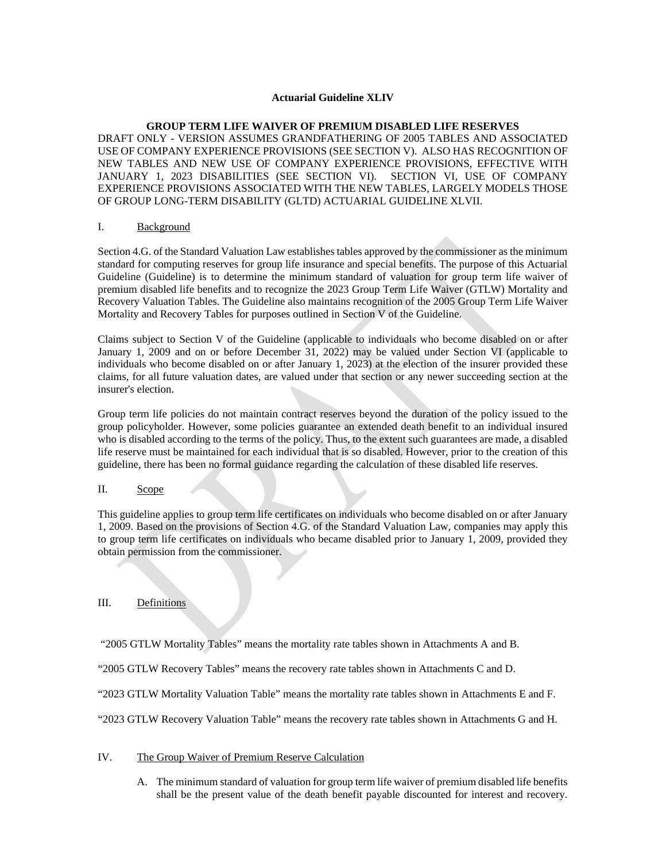#### **Actuarial Guideline XLIV**

#### **GROUP TERM LIFE WAIVER OF PREMIUM DISABLED LIFE RESERVES**

DRAFT ONLY - VERSION ASSUMES GRANDFATHERING OF 2005 TABLES AND ASSOCIATED USE OF COMPANY EXPERIENCE PROVISIONS (SEE SECTION V). ALSO HAS RECOGNITION OF NEW TABLES AND NEW USE OF COMPANY EXPERIENCE PROVISIONS, EFFECTIVE WITH JANUARY 1, 2023 DISABILITIES (SEE SECTION VI). SECTION VI, USE OF COMPANY EXPERIENCE PROVISIONS ASSOCIATED WITH THE NEW TABLES, LARGELY MODELS THOSE OF GROUP LONG-TERM DISABILITY (GLTD) ACTUARIAL GUIDELINE XLVII.

#### I. Background

Section 4.G. of the Standard Valuation Law establishes tables approved by the commissioner as the minimum standard for computing reserves for group life insurance and special benefits. The purpose of this Actuarial Guideline (Guideline) is to determine the minimum standard of valuation for group term life waiver of premium disabled life benefits and to recognize the 2023 Group Term Life Waiver (GTLW) Mortality and Recovery Valuation Tables. The Guideline also maintains recognition of the 2005 Group Term Life Waiver Mortality and Recovery Tables for purposes outlined in Section V of the Guideline.

Claims subject to Section V of the Guideline (applicable to individuals who become disabled on or after January 1, 2009 and on or before December 31, 2022) may be valued under Section VI (applicable to individuals who become disabled on or after January 1, 2023) at the election of the insurer provided these claims, for all future valuation dates, are valued under that section or any newer succeeding section at the insurer's election.

Group term life policies do not maintain contract reserves beyond the duration of the policy issued to the group policyholder. However, some policies guarantee an extended death benefit to an individual insured who is disabled according to the terms of the policy. Thus, to the extent such guarantees are made, a disabled life reserve must be maintained for each individual that is so disabled. However, prior to the creation of this guideline, there has been no formal guidance regarding the calculation of these disabled life reserves.

# II. Scope

This guideline applies to group term life certificates on individuals who become disabled on or after January 1, 2009. Based on the provisions of Section 4.G. of the Standard Valuation Law, companies may apply this to group term life certificates on individuals who became disabled prior to January 1, 2009, provided they obtain permission from the commissioner.

# III. Definitions

"2005 GTLW Mortality Tables" means the mortality rate tables shown in Attachments A and B.

"2005 GTLW Recovery Tables" means the recovery rate tables shown in Attachments C and D.

"2023 GTLW Mortality Valuation Table" means the mortality rate tables shown in Attachments E and F.

"2023 GTLW Recovery Valuation Table" means the recovery rate tables shown in Attachments G and H.

#### IV. The Group Waiver of Premium Reserve Calculation

A. The minimum standard of valuation for group term life waiver of premium disabled life benefits shall be the present value of the death benefit payable discounted for interest and recovery.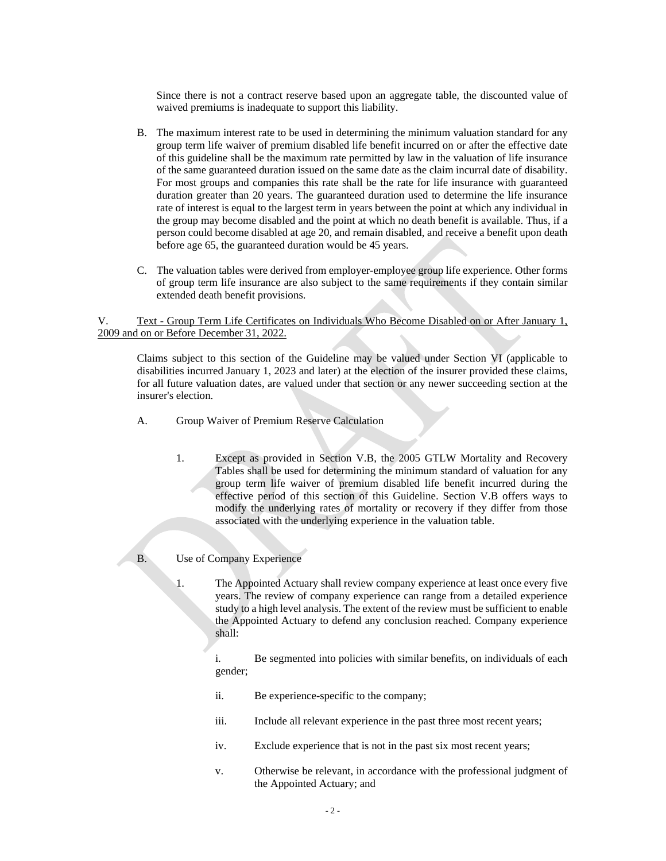Since there is not a contract reserve based upon an aggregate table, the discounted value of waived premiums is inadequate to support this liability.

- B. The maximum interest rate to be used in determining the minimum valuation standard for any group term life waiver of premium disabled life benefit incurred on or after the effective date of this guideline shall be the maximum rate permitted by law in the valuation of life insurance of the same guaranteed duration issued on the same date as the claim incurral date of disability. For most groups and companies this rate shall be the rate for life insurance with guaranteed duration greater than 20 years. The guaranteed duration used to determine the life insurance rate of interest is equal to the largest term in years between the point at which any individual in the group may become disabled and the point at which no death benefit is available. Thus, if a person could become disabled at age 20, and remain disabled, and receive a benefit upon death before age 65, the guaranteed duration would be 45 years.
- C. The valuation tables were derived from employer-employee group life experience. Other forms of group term life insurance are also subject to the same requirements if they contain similar extended death benefit provisions.

V. Text - Group Term Life Certificates on Individuals Who Become Disabled on or After January 1, 2009 and on or Before December 31, 2022.

Claims subject to this section of the Guideline may be valued under Section VI (applicable to disabilities incurred January 1, 2023 and later) at the election of the insurer provided these claims, for all future valuation dates, are valued under that section or any newer succeeding section at the insurer's election.

- A. Group Waiver of Premium Reserve Calculation
	- 1. Except as provided in Section V.B, the 2005 GTLW Mortality and Recovery Tables shall be used for determining the minimum standard of valuation for any group term life waiver of premium disabled life benefit incurred during the effective period of this section of this Guideline. Section V.B offers ways to modify the underlying rates of mortality or recovery if they differ from those associated with the underlying experience in the valuation table.
- B. Use of Company Experience
	- 1. The Appointed Actuary shall review company experience at least once every five years. The review of company experience can range from a detailed experience study to a high level analysis. The extent of the review must be sufficient to enable the Appointed Actuary to defend any conclusion reached. Company experience shall:

i. Be segmented into policies with similar benefits, on individuals of each gender;

- ii. Be experience-specific to the company;
- iii. Include all relevant experience in the past three most recent years;
- iv. Exclude experience that is not in the past six most recent years;
- v. Otherwise be relevant, in accordance with the professional judgment of the Appointed Actuary; and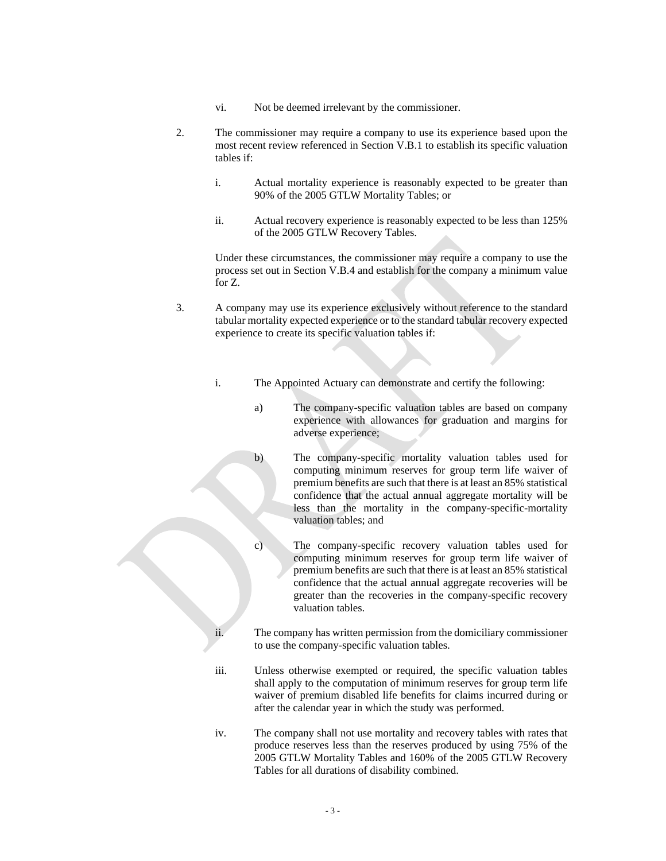- vi. Not be deemed irrelevant by the commissioner.
- 2. The commissioner may require a company to use its experience based upon the most recent review referenced in Section V.B.1 to establish its specific valuation tables if:
	- i. Actual mortality experience is reasonably expected to be greater than 90% of the 2005 GTLW Mortality Tables; or
	- ii. Actual recovery experience is reasonably expected to be less than 125% of the 2005 GTLW Recovery Tables.

Under these circumstances, the commissioner may require a company to use the process set out in Section V.B.4 and establish for the company a minimum value for Z.

- 3. A company may use its experience exclusively without reference to the standard tabular mortality expected experience or to the standard tabular recovery expected experience to create its specific valuation tables if:
	- i. The Appointed Actuary can demonstrate and certify the following:
		- a) The company-specific valuation tables are based on company experience with allowances for graduation and margins for adverse experience;
		- b) The company-specific mortality valuation tables used for computing minimum reserves for group term life waiver of premium benefits are such that there is at least an 85% statistical confidence that the actual annual aggregate mortality will be less than the mortality in the company-specific-mortality valuation tables; and
		- c) The company-specific recovery valuation tables used for computing minimum reserves for group term life waiver of premium benefits are such that there is at least an 85% statistical confidence that the actual annual aggregate recoveries will be greater than the recoveries in the company-specific recovery valuation tables.
	- ii. The company has written permission from the domiciliary commissioner to use the company-specific valuation tables.
	- iii. Unless otherwise exempted or required, the specific valuation tables shall apply to the computation of minimum reserves for group term life waiver of premium disabled life benefits for claims incurred during or after the calendar year in which the study was performed.
	- iv. The company shall not use mortality and recovery tables with rates that produce reserves less than the reserves produced by using 75% of the 2005 GTLW Mortality Tables and 160% of the 2005 GTLW Recovery Tables for all durations of disability combined.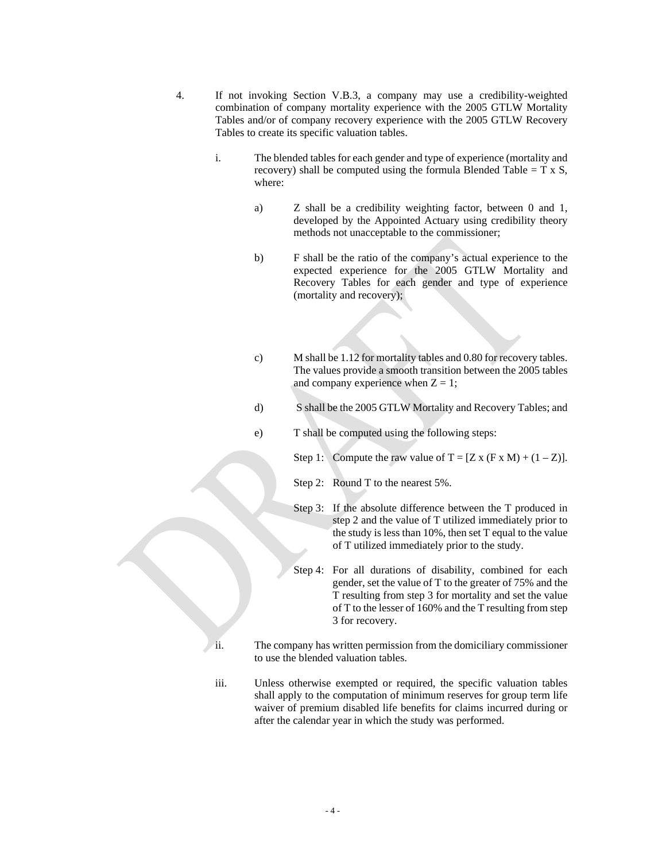- 4. If not invoking Section V.B.3, a company may use a credibility-weighted combination of company mortality experience with the 2005 GTLW Mortality Tables and/or of company recovery experience with the 2005 GTLW Recovery Tables to create its specific valuation tables.
	- i. The blended tables for each gender and type of experience (mortality and recovery) shall be computed using the formula Blended Table =  $T \times S$ , where:
		- a) Z shall be a credibility weighting factor, between 0 and 1, developed by the Appointed Actuary using credibility theory methods not unacceptable to the commissioner;
		- b) F shall be the ratio of the company's actual experience to the expected experience for the 2005 GTLW Mortality and Recovery Tables for each gender and type of experience (mortality and recovery);
		- c) M shall be 1.12 for mortality tables and 0.80 for recovery tables. The values provide a smooth transition between the 2005 tables and company experience when  $Z = 1$ ;
		- d) S shall be the 2005 GTLW Mortality and Recovery Tables; and
		- e) T shall be computed using the following steps:
			- Step 1: Compute the raw value of  $T = [Z \times (F \times M) + (1 Z)].$ 
				- Step 2: Round T to the nearest 5%.
				- Step 3: If the absolute difference between the T produced in step 2 and the value of T utilized immediately prior to the study is less than 10%, then set T equal to the value of T utilized immediately prior to the study.
				- Step 4: For all durations of disability, combined for each gender, set the value of T to the greater of 75% and the T resulting from step 3 for mortality and set the value of T to the lesser of 160% and the T resulting from step 3 for recovery.
	- ii. The company has written permission from the domiciliary commissioner to use the blended valuation tables.
	- iii. Unless otherwise exempted or required, the specific valuation tables shall apply to the computation of minimum reserves for group term life waiver of premium disabled life benefits for claims incurred during or after the calendar year in which the study was performed.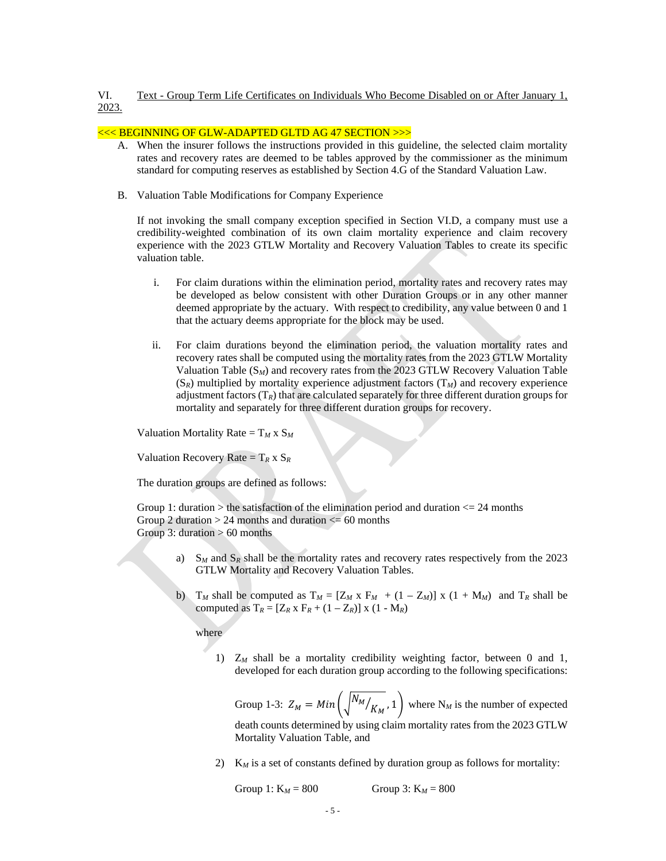# VI. Text - Group Term Life Certificates on Individuals Who Become Disabled on or After January 1, 2023.

# <<< BEGINNING OF GLW-ADAPTED GLTD AG 47 SECTION >>>

- A. When the insurer follows the instructions provided in this guideline, the selected claim mortality rates and recovery rates are deemed to be tables approved by the commissioner as the minimum standard for computing reserves as established by Section 4.G of the Standard Valuation Law.
- B. Valuation Table Modifications for Company Experience

If not invoking the small company exception specified in Section VI.D, a company must use a credibility-weighted combination of its own claim mortality experience and claim recovery experience with the 2023 GTLW Mortality and Recovery Valuation Tables to create its specific valuation table.

- i. For claim durations within the elimination period, mortality rates and recovery rates may be developed as below consistent with other Duration Groups or in any other manner deemed appropriate by the actuary. With respect to credibility, any value between 0 and 1 that the actuary deems appropriate for the block may be used.
- ii. For claim durations beyond the elimination period, the valuation mortality rates and recovery rates shall be computed using the mortality rates from the 2023 GTLW Mortality Valuation Table (S*M*) and recovery rates from the 2023 GTLW Recovery Valuation Table  $(S_R)$  multiplied by mortality experience adjustment factors  $(T_M)$  and recovery experience adjustment factors  $(T_R)$  that are calculated separately for three different duration groups for mortality and separately for three different duration groups for recovery.

Valuation Mortality Rate  $= T_M x S_M$ 

Valuation Recovery Rate =  $T_R$  x  $S_R$ 

The duration groups are defined as follows:

Group 1: duration  $>$  the satisfaction of the elimination period and duration  $\lt$  = 24 months Group 2 duration  $> 24$  months and duration  $\leq 60$  months Group 3: duration  $> 60$  months

- a)  $S_M$  and  $S_R$  shall be the mortality rates and recovery rates respectively from the 2023 GTLW Mortality and Recovery Valuation Tables.
- b)  $T_M$  shall be computed as  $T_M = [Z_M \times F_M + (1 Z_M)] \times (1 + M_M)$  and  $T_R$  shall be computed as  $T_R = [Z_R \times F_R + (1 - Z_R)] \times (1 - M_R)$

where

1) Z*<sup>M</sup>* shall be a mortality credibility weighting factor, between 0 and 1, developed for each duration group according to the following specifications:

Group 1-3:  $Z_M = Min \left( \sqrt{\frac{N_M}{K_M}}$ , 1 where N<sub>M</sub> is the number of expected death counts determined by using claim mortality rates from the 2023 GTLW Mortality Valuation Table, and

2)  $K_M$  is a set of constants defined by duration group as follows for mortality:

Group 1:  $K_M = 800$  Group 3:  $K_M = 800$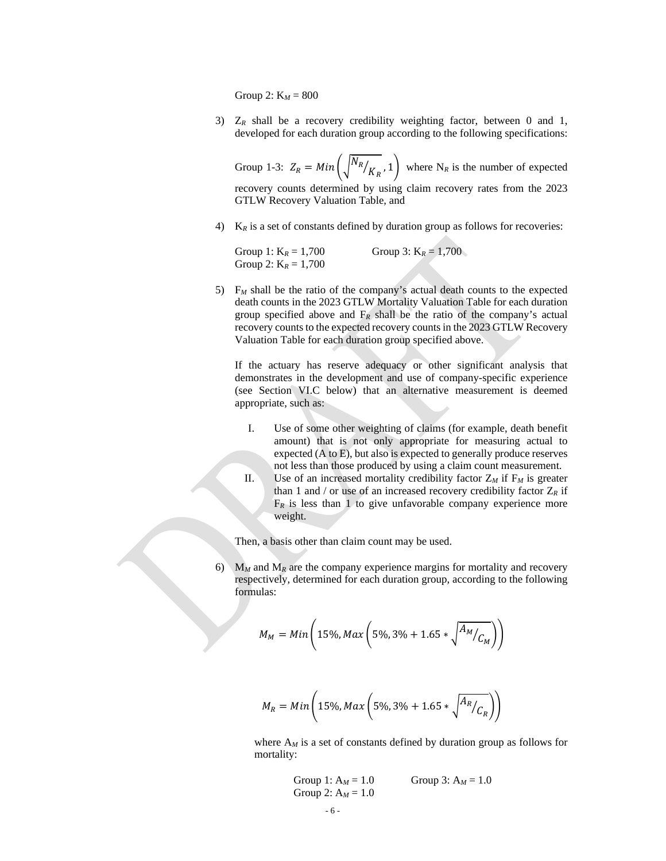Group 2: K*<sup>M</sup>* = 800

3)  $Z_R$  shall be a recovery credibility weighting factor, between 0 and 1, developed for each duration group according to the following specifications:

Group 1-3:  $Z_R = Min\left(\sqrt{N_R}/K_R, 1\right)$  where N<sub>R</sub> is the number of expected recovery counts determined by using claim recovery rates from the 2023 GTLW Recovery Valuation Table, and

4)  $K_R$  is a set of constants defined by duration group as follows for recoveries:

Group 1:  $K_R = 1,700$  Group 3:  $K_R = 1,700$ Group 2:  $K_R = 1,700$ 

5) F*<sup>M</sup>* shall be the ratio of the company's actual death counts to the expected death counts in the 2023 GTLW Mortality Valuation Table for each duration group specified above and  $F_R$  shall be the ratio of the company's actual recovery counts to the expected recovery counts in the 2023 GTLW Recovery Valuation Table for each duration group specified above.

If the actuary has reserve adequacy or other significant analysis that demonstrates in the development and use of company-specific experience (see Section VI.C below) that an alternative measurement is deemed appropriate, such as:

- I. Use of some other weighting of claims (for example, death benefit amount) that is not only appropriate for measuring actual to expected (A to E), but also is expected to generally produce reserves not less than those produced by using a claim count measurement.
- II. Use of an increased mortality credibility factor  $Z_M$  if  $F_M$  is greater than 1 and / or use of an increased recovery credibility factor  $Z_R$  if  $F_R$  is less than 1 to give unfavorable company experience more weight.

Then, a basis other than claim count may be used.

6)  $M_M$  and  $M_R$  are the company experience margins for mortality and recovery respectively, determined for each duration group, according to the following formulas:

$$
M_M = Min\left(15\%, Max\left(5\%, 3\% + 1.65 * \sqrt{\frac{A_M}{C_M}}\right)\right)
$$

$$
M_R = Min\left(15\%, Max\left(5\%, 3\% + 1.65 * \sqrt{\frac{A_R}{C_R}}\right)\right)
$$

where  $A_M$  is a set of constants defined by duration group as follows for mortality:

Group 1: 
$$
A_M = 1.0
$$
 Group 3:  $A_M = 1.0$   
Group 2:  $A_M = 1.0$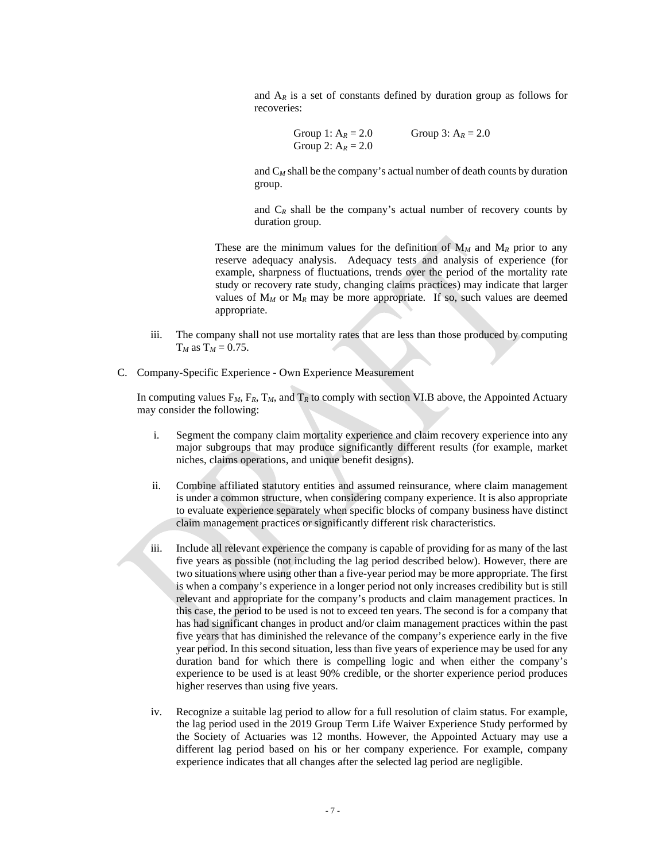and  $A_R$  is a set of constants defined by duration group as follows for recoveries:

```
Group 1: A_R = 2.0 Group 3: A_R = 2.0Group 2: A_R = 2.0
```
and  $C_M$  shall be the company's actual number of death counts by duration group.

and  $C_R$  shall be the company's actual number of recovery counts by duration group.

These are the minimum values for the definition of  $M_M$  and  $M_R$  prior to any reserve adequacy analysis. Adequacy tests and analysis of experience (for example, sharpness of fluctuations, trends over the period of the mortality rate study or recovery rate study, changing claims practices) may indicate that larger values of  $M_M$  or  $M_R$  may be more appropriate. If so, such values are deemed appropriate.

- iii. The company shall not use mortality rates that are less than those produced by computing  $T_M$  as  $T_M = 0.75$ .
- C. Company-Specific Experience Own Experience Measurement

In computing values  $F_M$ ,  $F_R$ ,  $T_M$ , and  $T_R$  to comply with section VI.B above, the Appointed Actuary may consider the following:

- i. Segment the company claim mortality experience and claim recovery experience into any major subgroups that may produce significantly different results (for example, market niches, claims operations, and unique benefit designs).
- ii. Combine affiliated statutory entities and assumed reinsurance, where claim management is under a common structure, when considering company experience. It is also appropriate to evaluate experience separately when specific blocks of company business have distinct claim management practices or significantly different risk characteristics.
- iii. Include all relevant experience the company is capable of providing for as many of the last five years as possible (not including the lag period described below). However, there are two situations where using other than a five-year period may be more appropriate. The first is when a company's experience in a longer period not only increases credibility but is still relevant and appropriate for the company's products and claim management practices. In this case, the period to be used is not to exceed ten years. The second is for a company that has had significant changes in product and/or claim management practices within the past five years that has diminished the relevance of the company's experience early in the five year period. In this second situation, less than five years of experience may be used for any duration band for which there is compelling logic and when either the company's experience to be used is at least 90% credible, or the shorter experience period produces higher reserves than using five years.
- iv. Recognize a suitable lag period to allow for a full resolution of claim status. For example, the lag period used in the 2019 Group Term Life Waiver Experience Study performed by the Society of Actuaries was 12 months. However, the Appointed Actuary may use a different lag period based on his or her company experience. For example, company experience indicates that all changes after the selected lag period are negligible.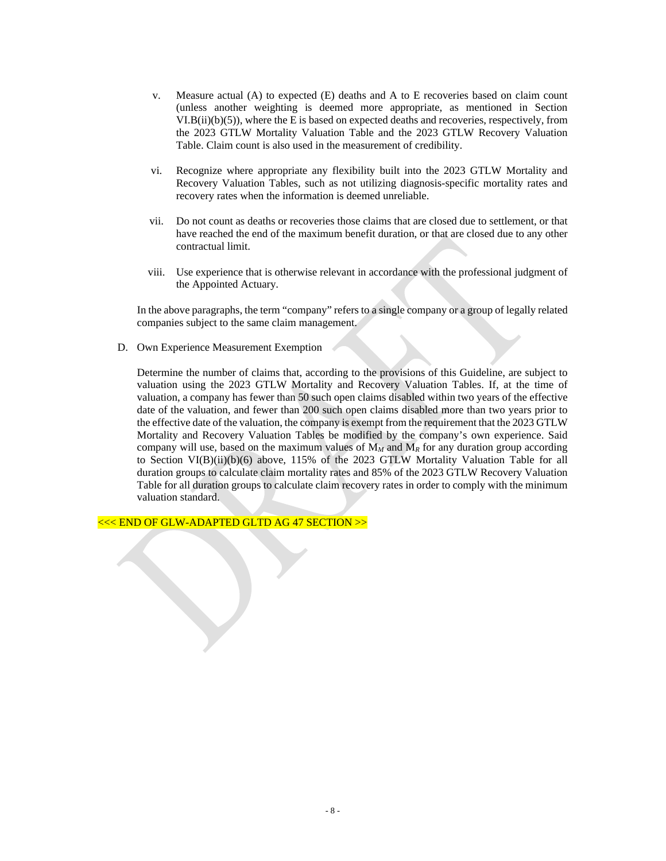- v. Measure actual (A) to expected (E) deaths and A to E recoveries based on claim count (unless another weighting is deemed more appropriate, as mentioned in Section  $VI.B(ii)(b)(5)$ , where the E is based on expected deaths and recoveries, respectively, from the 2023 GTLW Mortality Valuation Table and the 2023 GTLW Recovery Valuation Table. Claim count is also used in the measurement of credibility.
- vi. Recognize where appropriate any flexibility built into the 2023 GTLW Mortality and Recovery Valuation Tables, such as not utilizing diagnosis-specific mortality rates and recovery rates when the information is deemed unreliable.
- vii. Do not count as deaths or recoveries those claims that are closed due to settlement, or that have reached the end of the maximum benefit duration, or that are closed due to any other contractual limit.
- viii. Use experience that is otherwise relevant in accordance with the professional judgment of the Appointed Actuary.

In the above paragraphs, the term "company" refers to a single company or a group of legally related companies subject to the same claim management.

D. Own Experience Measurement Exemption

Determine the number of claims that, according to the provisions of this Guideline, are subject to valuation using the 2023 GTLW Mortality and Recovery Valuation Tables. If, at the time of valuation, a company has fewer than 50 such open claims disabled within two years of the effective date of the valuation, and fewer than 200 such open claims disabled more than two years prior to the effective date of the valuation, the company is exempt from the requirement that the 2023 GTLW Mortality and Recovery Valuation Tables be modified by the company's own experience. Said company will use, based on the maximum values of  $M_M$  and  $M_R$  for any duration group according to Section VI(B)(ii)(b)(6) above, 115% of the 2023 GTLW Mortality Valuation Table for all duration groups to calculate claim mortality rates and 85% of the 2023 GTLW Recovery Valuation Table for all duration groups to calculate claim recovery rates in order to comply with the minimum valuation standard.

<<< END OF GLW-ADAPTED GLTD AG 47 SECTION >>